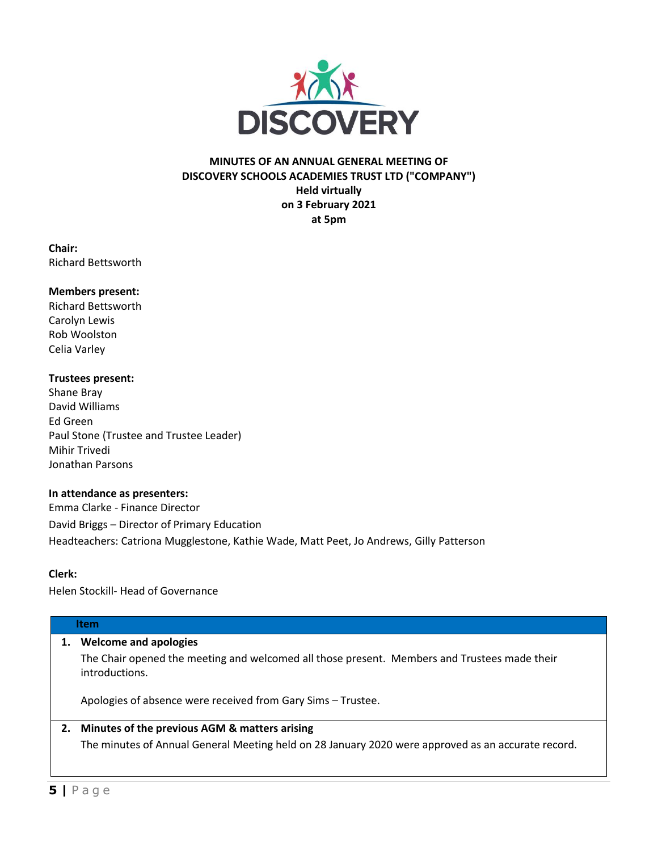

## **MINUTES OF AN ANNUAL GENERAL MEETING OF DISCOVERY SCHOOLS ACADEMIES TRUST LTD ("COMPANY") Held virtually on 3 February 2021 at 5pm**

**Chair:** Richard Bettsworth

### **Members present:**

Richard Bettsworth Carolyn Lewis Rob Woolston Celia Varley

#### **Trustees present:**

Shane Bray David Williams Ed Green Paul Stone (Trustee and Trustee Leader) Mihir Trivedi Jonathan Parsons

#### **In attendance as presenters:**

Emma Clarke - Finance Director David Briggs – Director of Primary Education Headteachers: Catriona Mugglestone, Kathie Wade, Matt Peet, Jo Andrews, Gilly Patterson

#### **Clerk:**

Helen Stockill- Head of Governance

#### **Item**

### **1. Welcome and apologies**

The Chair opened the meeting and welcomed all those present. Members and Trustees made their introductions.

Apologies of absence were received from Gary Sims – Trustee.

# **2. Minutes of the previous AGM & matters arising** The minutes of Annual General Meeting held on 28 January 2020 were approved as an accurate record.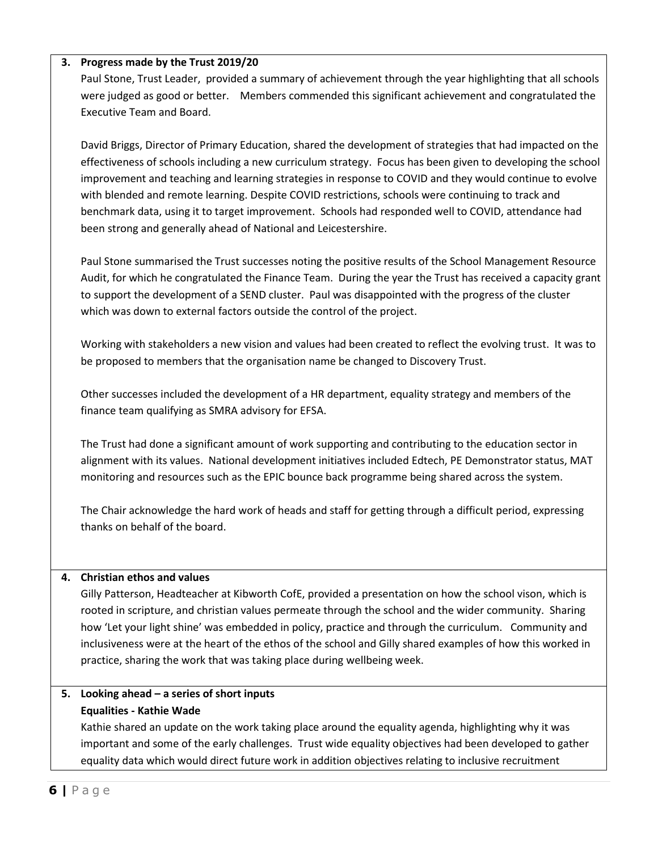## **3. Progress made by the Trust 2019/20**

Paul Stone, Trust Leader, provided a summary of achievement through the year highlighting that all schools were judged as good or better. Members commended this significant achievement and congratulated the Executive Team and Board.

David Briggs, Director of Primary Education, shared the development of strategies that had impacted on the effectiveness of schools including a new curriculum strategy. Focus has been given to developing the school improvement and teaching and learning strategies in response to COVID and they would continue to evolve with blended and remote learning. Despite COVID restrictions, schools were continuing to track and benchmark data, using it to target improvement. Schools had responded well to COVID, attendance had been strong and generally ahead of National and Leicestershire.

Paul Stone summarised the Trust successes noting the positive results of the School Management Resource Audit, for which he congratulated the Finance Team. During the year the Trust has received a capacity grant to support the development of a SEND cluster. Paul was disappointed with the progress of the cluster which was down to external factors outside the control of the project.

Working with stakeholders a new vision and values had been created to reflect the evolving trust. It was to be proposed to members that the organisation name be changed to Discovery Trust.

Other successes included the development of a HR department, equality strategy and members of the finance team qualifying as SMRA advisory for EFSA.

The Trust had done a significant amount of work supporting and contributing to the education sector in alignment with its values. National development initiatives included Edtech, PE Demonstrator status, MAT monitoring and resources such as the EPIC bounce back programme being shared across the system.

The Chair acknowledge the hard work of heads and staff for getting through a difficult period, expressing thanks on behalf of the board.

### **4. Christian ethos and values**

Gilly Patterson, Headteacher at Kibworth CofE, provided a presentation on how the school vison, which is rooted in scripture, and christian values permeate through the school and the wider community. Sharing how 'Let your light shine' was embedded in policy, practice and through the curriculum. Community and inclusiveness were at the heart of the ethos of the school and Gilly shared examples of how this worked in practice, sharing the work that was taking place during wellbeing week.

# **5. Looking ahead – a series of short inputs Equalities - Kathie Wade**

Kathie shared an update on the work taking place around the equality agenda, highlighting why it was important and some of the early challenges. Trust wide equality objectives had been developed to gather equality data which would direct future work in addition objectives relating to inclusive recruitment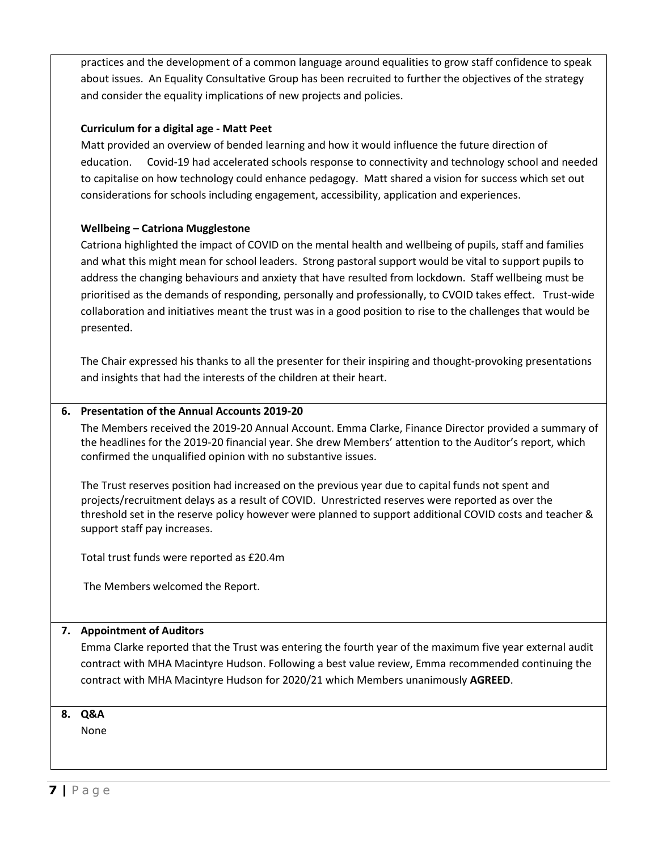practices and the development of a common language around equalities to grow staff confidence to speak about issues. An Equality Consultative Group has been recruited to further the objectives of the strategy and consider the equality implications of new projects and policies.

## **Curriculum for a digital age - Matt Peet**

Matt provided an overview of bended learning and how it would influence the future direction of education. Covid-19 had accelerated schools response to connectivity and technology school and needed to capitalise on how technology could enhance pedagogy. Matt shared a vision for success which set out considerations for schools including engagement, accessibility, application and experiences.

## **Wellbeing – Catriona Mugglestone**

Catriona highlighted the impact of COVID on the mental health and wellbeing of pupils, staff and families and what this might mean for school leaders. Strong pastoral support would be vital to support pupils to address the changing behaviours and anxiety that have resulted from lockdown. Staff wellbeing must be prioritised as the demands of responding, personally and professionally, to CVOID takes effect. Trust-wide collaboration and initiatives meant the trust was in a good position to rise to the challenges that would be presented.

The Chair expressed his thanks to all the presenter for their inspiring and thought-provoking presentations and insights that had the interests of the children at their heart.

### **6. Presentation of the Annual Accounts 2019-20**

The Members received the 2019-20 Annual Account. Emma Clarke, Finance Director provided a summary of the headlines for the 2019-20 financial year. She drew Members' attention to the Auditor's report, which confirmed the unqualified opinion with no substantive issues.

The Trust reserves position had increased on the previous year due to capital funds not spent and projects/recruitment delays as a result of COVID. Unrestricted reserves were reported as over the threshold set in the reserve policy however were planned to support additional COVID costs and teacher & support staff pay increases.

Total trust funds were reported as £20.4m

The Members welcomed the Report.

### **7. Appointment of Auditors**

Emma Clarke reported that the Trust was entering the fourth year of the maximum five year external audit contract with MHA Macintyre Hudson. Following a best value review, Emma recommended continuing the contract with MHA Macintyre Hudson for 2020/21 which Members unanimously **AGREED**.

## **8. Q&A**

None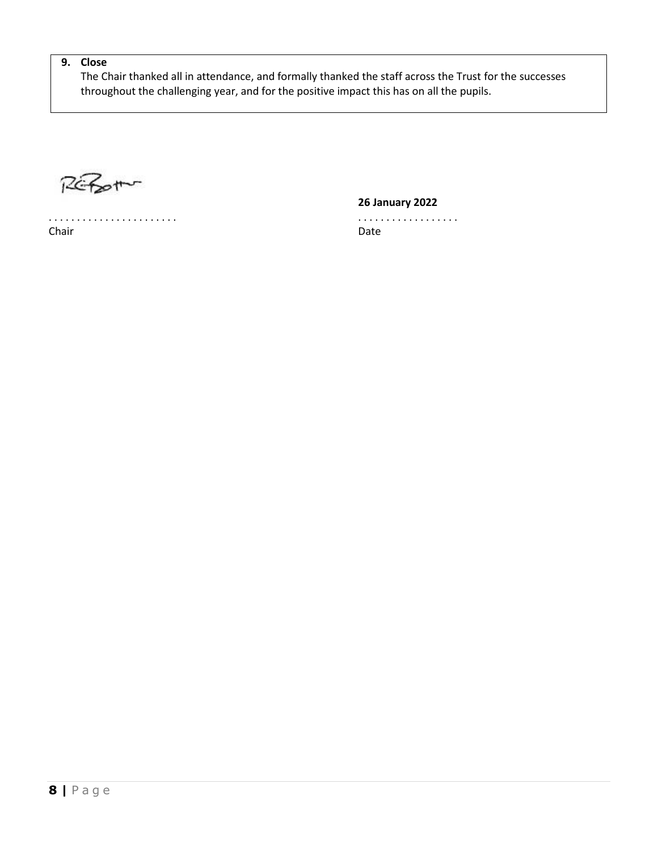# **9. Close**

The Chair thanked all in attendance, and formally thanked the staff across the Trust for the successes throughout the challenging year, and for the positive impact this has on all the pupils.

REPORT

Chair **Date** 

**26 January 2022**

. . . . . . . . . . . . . . . . . . . . . . . . . . . . . . . . . . . . . . . . .